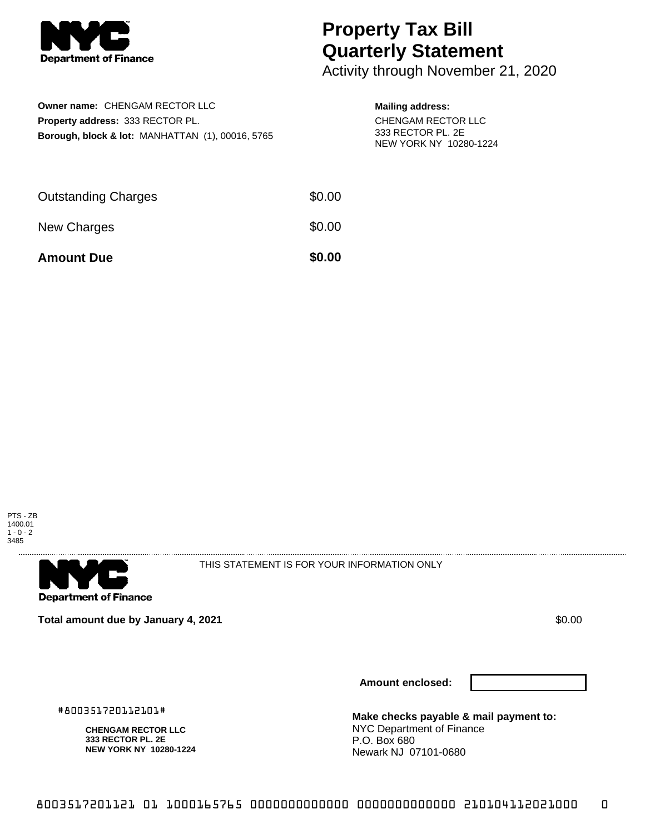

## **Property Tax Bill Quarterly Statement**

Activity through November 21, 2020

| Owner name: CHENGAM RECTOR LLC                              |  |
|-------------------------------------------------------------|--|
| <b>Property address: 333 RECTOR PL.</b>                     |  |
| <b>Borough, block &amp; lot: MANHATTAN (1), 00016, 5765</b> |  |

## **Mailing address:**

CHENGAM RECTOR LLC 333 RECTOR PL. 2E NEW YORK NY 10280-1224

| <b>Amount Due</b>          | \$0.00 |
|----------------------------|--------|
| New Charges                | \$0.00 |
| <b>Outstanding Charges</b> | \$0.00 |





THIS STATEMENT IS FOR YOUR INFORMATION ONLY

**Total amount due by January 4, 2021 \$0.00**  $\bullet$  **\$0.00**  $\bullet$  **\$0.00**  $\bullet$  **\$0.00** 

**Amount enclosed:**

#800351720112101#

**CHENGAM RECTOR LLC 333 RECTOR PL. 2E NEW YORK NY 10280-1224** **Make checks payable & mail payment to:** NYC Department of Finance P.O. Box 680 Newark NJ 07101-0680